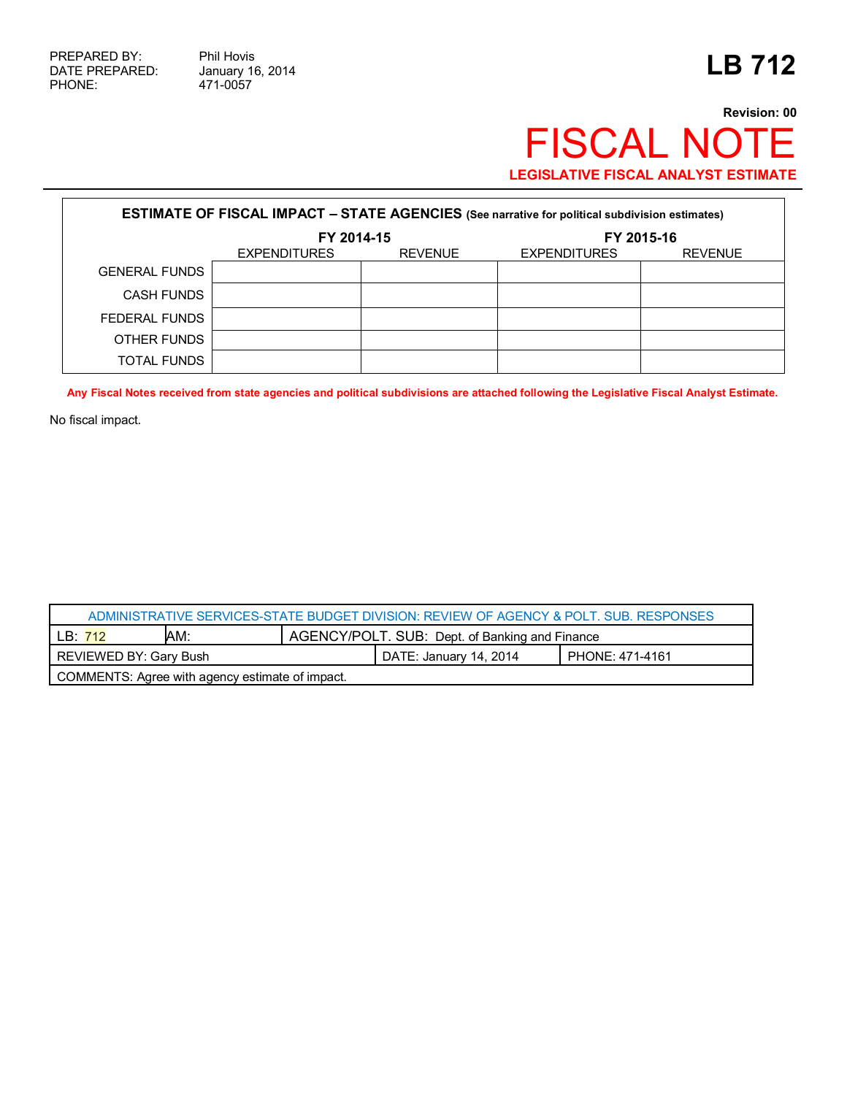471-0057

## **Revision: 00** FISCAL NOTE **LEGISLATIVE FISCAL ANALYST ESTIMATE**

| <b>ESTIMATE OF FISCAL IMPACT - STATE AGENCIES</b> (See narrative for political subdivision estimates) |                     |                |                     |                |  |
|-------------------------------------------------------------------------------------------------------|---------------------|----------------|---------------------|----------------|--|
|                                                                                                       | FY 2014-15          |                | FY 2015-16          |                |  |
|                                                                                                       | <b>EXPENDITURES</b> | <b>REVENUE</b> | <b>EXPENDITURES</b> | <b>REVENUE</b> |  |
| <b>GENERAL FUNDS</b>                                                                                  |                     |                |                     |                |  |
| <b>CASH FUNDS</b>                                                                                     |                     |                |                     |                |  |
| FEDERAL FUNDS                                                                                         |                     |                |                     |                |  |
| OTHER FUNDS                                                                                           |                     |                |                     |                |  |
| <b>TOTAL FUNDS</b>                                                                                    |                     |                |                     |                |  |

**Any Fiscal Notes received from state agencies and political subdivisions are attached following the Legislative Fiscal Analyst Estimate.**

No fiscal impact.

| ADMINISTRATIVE SERVICES-STATE BUDGET DIVISION: REVIEW OF AGENCY & POLT, SUB, RESPONSES |     |                                                |                        |                 |  |
|----------------------------------------------------------------------------------------|-----|------------------------------------------------|------------------------|-----------------|--|
| LB:712                                                                                 | AM: | AGENCY/POLT. SUB: Dept. of Banking and Finance |                        |                 |  |
| REVIEWED BY: Gary Bush                                                                 |     |                                                | DATE: January 14, 2014 | PHONE: 471-4161 |  |
| COMMENTS: Agree with agency estimate of impact.                                        |     |                                                |                        |                 |  |